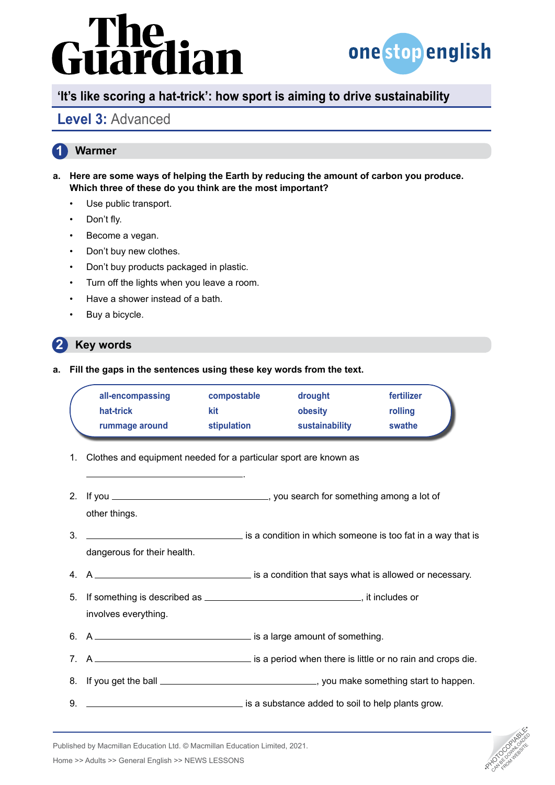

## **'It's like scoring a hat-trick': how sport is aiming to drive sustainability**

## **Level 3:** Advanced

#### **1 Warmer**

- **a. Here are some ways of helping the Earth by reducing the amount of carbon you produce. Which three of these do you think are the most important?**
	- Use public transport.
	- Don't fly.
	- Become a vegan.
	- Don't buy new clothes.
	- Don't buy products packaged in plastic.
	- Turn off the lights when you leave a room.
	- Have a shower instead of a bath.
	- Buy a bicycle.

#### **2 Key words**

**a. Fill the gaps in the sentences using these key words from the text.**

| all-encompassing | compostable | drought        | fertilizer |
|------------------|-------------|----------------|------------|
| hat-trick        | kit         | obesity        | rolling    |
| rummage around   | stipulation | sustainability | swathe     |

- 1. Clothes and equipment needed for a particular sport are known as
- 2. If you  $\frac{1}{2}$  is the sum  $\frac{1}{2}$  you search for something among a lot of other things.

.

- 3. <u>Immediate is a condition in which some one</u> is too fat in a way that is dangerous for their health.
- 4. A  $\overline{\phantom{a}}$  4. A
- 5. If something is described as , it includes or involves everything.
- 6. A <u>example a mount of something</u>.
- 7. A is a period when there is little or no rain and crops die.
- 8. If you get the ball , you make something start to happen.
- 9. **is a substance added to soil to help plants grow.** is a substance added to soil to help plants grow.



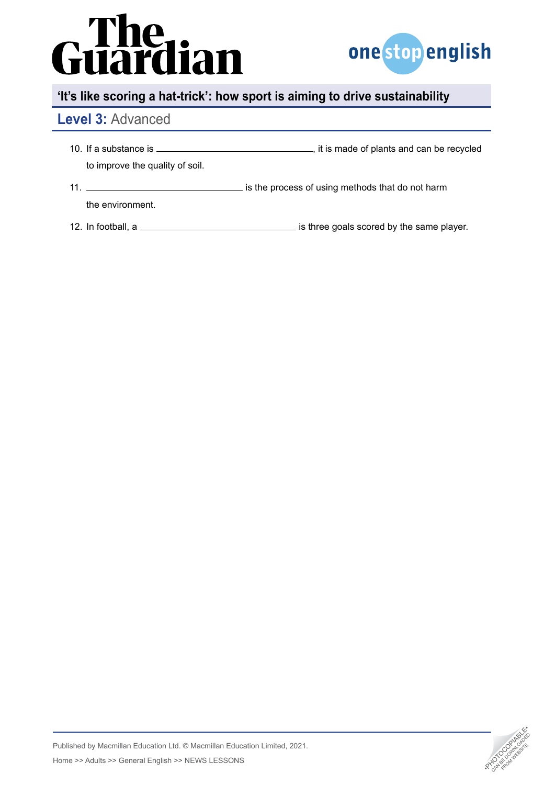

## **'It's like scoring a hat-trick': how sport is aiming to drive sustainability**

## **Level 3:** Advanced

- 10. If a substance is , it is made of plants and can be recycled to improve the quality of soil.
- 11. **interest of using methods that do not harm** is the process of using methods that do not harm the environment.
- 12. In football, a is three goals scored by the same player.

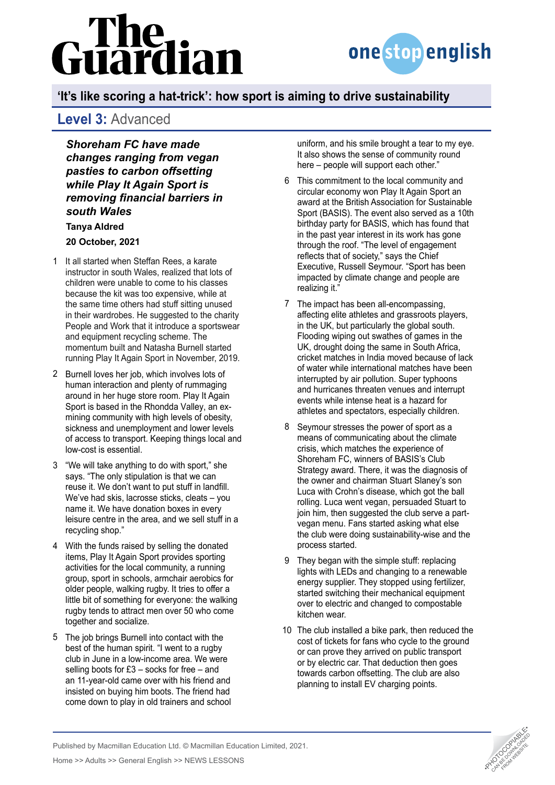

## **'It's like scoring a hat-trick': how sport is aiming to drive sustainability**

### **Level 3:** Advanced

*Shoreham FC have made changes ranging from vegan pasties to carbon offsetting while Play It Again Sport is removing financial barriers in south Wales* **[Tanya Aldred](https://www.theguardian.com/profile/tanyaaldred)**

#### **20 October, 2021**

- 1 It all started when Steffan Rees, a karate instructor in south Wales, realized that lots of children were unable to come to his classes because the kit was too expensive, while at the same time others had stuff sitting unused in their wardrobes. He suggested to the charity People and Work that it introduce a sportswear and equipment recycling scheme. The momentum built and Natasha Burnell started running Play It Again Sport in November, 2019.
- 2 Burnell loves her job, which involves lots of human interaction and plenty of rummaging around in her huge store room. Play It Again Sport is based in the Rhondda Valley, an exmining community with high levels of obesity, sickness and unemployment and lower levels of access to transport. Keeping things local and low-cost is essential.
- "We will take anything to do with sport," she 3 says. "The only stipulation is that we can reuse it. We don't want to put stuff in landfill. We've had skis, lacrosse sticks, cleats – you name it. We have donation boxes in every leisure centre in the area, and we sell stuff in a recycling shop."
- With the funds raised by selling the donated 4 items, Play It Again Sport provides sporting activities for the local community, a running group, sport in schools, armchair aerobics for older people, walking rugby. It tries to offer a little bit of something for everyone: the walking rugby tends to attract men over 50 who come together and socialize.
- The job brings Burnell into contact with the 5 best of the human spirit. "I went to a rugby club in June in a low-income area. We were selling boots for £3 – socks for free – and an 11-year-old came over with his friend and insisted on buying him boots. The friend had come down to play in old trainers and school

uniform, and his smile brought a tear to my eye. It also shows the sense of community round here – people will support each other."

- This commitment to the local community and 6 circular economy won Play It Again Sport an award at the British Association for Sustainable Sport (BASIS). The event also served as a 10th birthday party for BASIS, which has found that in the past year interest in its work has gone through the roof. "The level of engagement reflects that of society," says the Chief Executive, Russell Seymour. "Sport has been impacted by climate change and people are realizing it."
- 7 The impact has been all-encompassing, affecting elite athletes and grassroots players, in the UK, but particularly the global south. Flooding wiping out swathes of games in the UK, drought doing the same in South Africa, cricket matches in India moved because of lack of water while international matches have been interrupted by air pollution. Super typhoons and hurricanes threaten venues and interrupt events while intense heat is a hazard for athletes and spectators, especially children.
- Seymour stresses the power of sport as a means of communicating about the climate crisis, which matches the experience of Shoreham FC, winners of BASIS's Club Strategy award. There, it was the diagnosis of the owner and chairman Stuart Slaney's son Luca with Crohn's disease, which got the ball rolling. Luca went vegan, persuaded Stuart to join him, then suggested the club serve a partvegan menu. Fans started asking what else the club were doing sustainability-wise and the process started. 8
- They began with the simple stuff: replacing 9 lights with LEDs and changing to a renewable energy supplier. They stopped using fertilizer, started switching their mechanical equipment over to electric and changed to compostable kitchen wear.
- 10 The club installed a bike park, then reduced the cost of tickets for fans who cycle to the ground or can prove they arrived on public transport or by electric car. That deduction then goes towards carbon offsetting. The club are also planning to install EV charging points.



Published by Macmillan Education Ltd. © Macmillan Education Limited, 2021. Analysished by Macmillan Education Ltd. © Macmillan Education Limited, 2021.<br>Home >> Adults >> General English >> NEWS LESSONS •PHOTOCOPIA •PHOTOCOPIA •PHOTOCOPIA •PHOTOCOPIA •PHOTOCOPIA<br>Analysis •Photocopy •PHOTOCOPIA •PH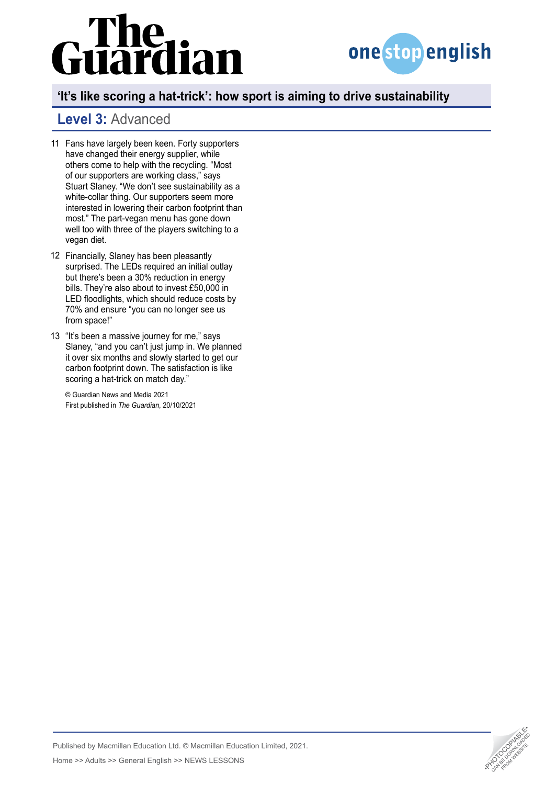# The<br>uardian



## **'It's like scoring a hat-trick': how sport is aiming to drive sustainability**

## **Level 3:** Advanced

- Fans have largely been keen. Forty supporters 11 have changed their energy supplier, while others come to help with the recycling. "Most of our supporters are working class," says Stuart Slaney. "We don't see sustainability as a white-collar thing. Our supporters seem more interested in lowering their carbon footprint than most." The part-vegan menu has gone down well too with three of the players switching to a vegan diet.
- 12 Financially, Slaney has been pleasantly surprised. The LEDs required an initial outlay but there's been a 30% reduction in energy bills. They're also about to invest £50,000 in LED floodlights, which should reduce costs by 70% and ensure "you can no longer see us from space!"
- 13 "It's been a massive journey for me," says Slaney, "and you can't just jump in. We planned it over six months and slowly started to get our carbon footprint down. The satisfaction is like scoring a hat-trick on match day."

© Guardian News and Media 2021 First published in *The Guardian*, 20/10/2021

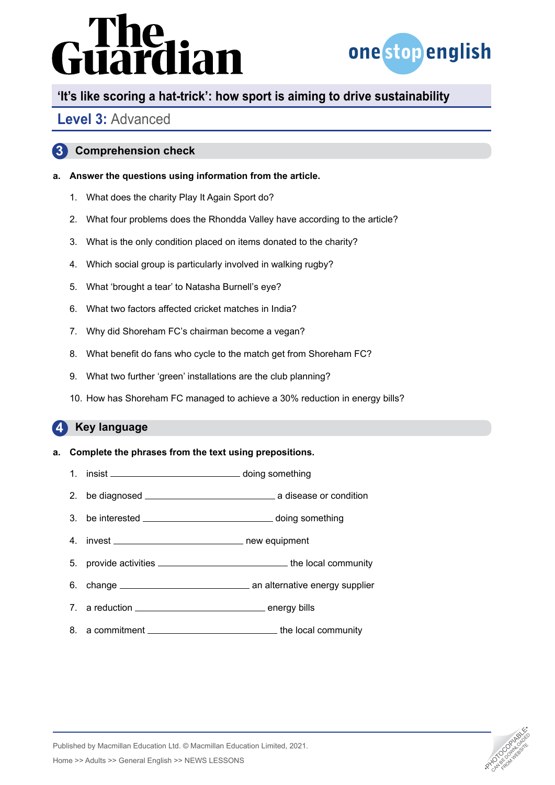

## **'It's like scoring a hat-trick': how sport is aiming to drive sustainability**

## **Level 3:** Advanced

### **3 Comprehension check**

### **a. Answer the questions using information from the article.**

- 1. What does the charity Play It Again Sport do?
- 2. What four problems does the Rhondda Valley have according to the article?
- 3. What is the only condition placed on items donated to the charity?
- 4. Which social group is particularly involved in walking rugby?
- 5. What 'brought a tear' to Natasha Burnell's eye?
- 6. What two factors affected cricket matches in India?
- 7. Why did Shoreham FC's chairman become a vegan?
- 8. What benefit do fans who cycle to the match get from Shoreham FC?
- 9. What two further 'green' installations are the club planning?
- 10. How has Shoreham FC managed to achieve a 30% reduction in energy bills?

#### **4 Key language**

### **a. Complete the phrases from the text using prepositions.**

- 1. insist doing something
- 2. be diagnosed a disease or condition
- 3. be interested \_\_\_\_\_\_\_\_\_\_\_\_\_\_\_\_\_\_\_\_\_\_\_\_\_\_\_\_\_\_\_\_\_ doing something
- 4. invest new equipment
- 5. provide activities \_\_\_\_\_\_\_\_\_\_\_\_\_\_\_\_\_\_\_\_\_\_\_\_\_\_\_\_\_\_\_\_the local community
- 6. change an alternative energy supplier
- 7. a reduction \_\_\_\_\_\_\_\_\_\_\_\_\_\_\_\_\_\_\_\_\_\_\_\_\_\_\_\_\_\_\_\_\_ energy bills
- 8. a commitment \_\_\_\_\_\_\_\_\_\_\_\_\_\_\_\_\_\_\_\_\_\_\_\_\_\_\_\_\_\_\_\_the local community



Published by Macmillan Education Ltd. © Macmillan Education Limited, 2021. Analysished by Macmillan Education Ltd. © Macmillan Education Limited, 2021.<br>Home >> Adults >> General English >> NEWS LESSONS •PHOTOCOPIA •PHOTOCOPIA •PHOTOCOPIA •PHOTOCOPIA •PHOTOCOPIA<br>Analysis •Photocopy •PHOTOCOPIA •PH